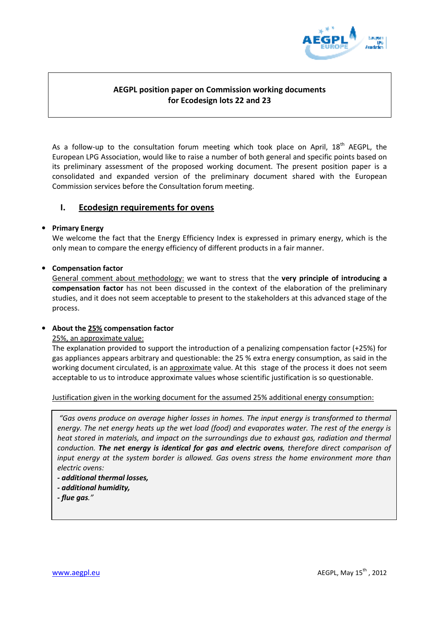

# AEGPL position paper on Commission working documents for Ecodesign lots 22 and 23

As a follow-up to the consultation forum meeting which took place on April,  $18<sup>th</sup>$  AEGPL, the European LPG Association, would like to raise a number of both general and specific points based on its preliminary assessment of the proposed working document. The present position paper is a consolidated and expanded version of the preliminary document shared with the European Commission services before the Consultation forum meeting.

## I. Ecodesign requirements for ovens

## • Primary Energy

We welcome the fact that the Energy Efficiency Index is expressed in primary energy, which is the only mean to compare the energy efficiency of different products in a fair manner.

## • Compensation factor

General comment about methodology: we want to stress that the very principle of introducing a compensation factor has not been discussed in the context of the elaboration of the preliminary studies, and it does not seem acceptable to present to the stakeholders at this advanced stage of the process.

## • About the 25% compensation factor

25%, an approximate value:

The explanation provided to support the introduction of a penalizing compensation factor (+25%) for gas appliances appears arbitrary and questionable: the 25 % extra energy consumption, as said in the working document circulated, is an approximate value. At this stage of the process it does not seem acceptable to us to introduce approximate values whose scientific justification is so questionable.

### Justification given in the working document for the assumed 25% additional energy consumption:

"Gas ovens produce on average higher losses in homes. The input energy is transformed to thermal energy. The net energy heats up the wet load (food) and evaporates water. The rest of the energy is heat stored in materials, and impact on the surroundings due to exhaust gas, radiation and thermal conduction. The net energy is identical for gas and electric ovens, therefore direct comparison of input energy at the system border is allowed. Gas ovens stress the home environment more than electric ovens:

- additional thermal losses,
- additional humidity,
- flue gas."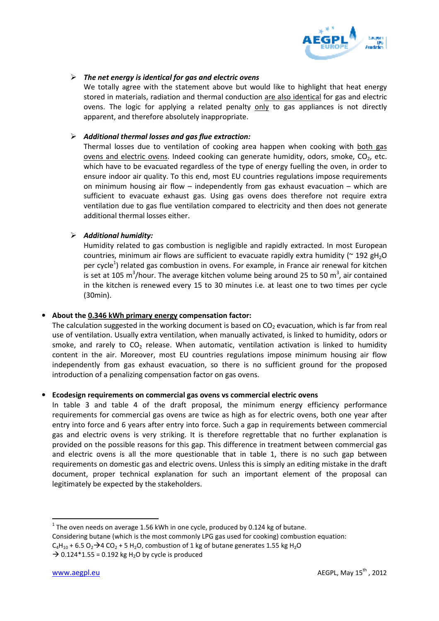

## $\triangleright$  The net energy is identical for gas and electric ovens

We totally agree with the statement above but would like to highlight that heat energy stored in materials, radiation and thermal conduction are also identical for gas and electric ovens. The logic for applying a related penalty only to gas appliances is not directly apparent, and therefore absolutely inappropriate.

### $\triangleright$  Additional thermal losses and gas flue extraction:

Thermal losses due to ventilation of cooking area happen when cooking with both gas ovens and electric ovens. Indeed cooking can generate humidity, odors, smoke,  $CO<sub>2</sub>$ , etc. which have to be evacuated regardless of the type of energy fuelling the oven, in order to ensure indoor air quality. To this end, most EU countries regulations impose requirements on minimum housing air flow – independently from gas exhaust evacuation – which are sufficient to evacuate exhaust gas. Using gas ovens does therefore not require extra ventilation due to gas flue ventilation compared to electricity and then does not generate additional thermal losses either.

### $\triangleright$  Additional humidity:

Humidity related to gas combustion is negligible and rapidly extracted. In most European countries, minimum air flows are sufficient to evacuate rapidly extra humidity ( $\sim$  192 gH<sub>2</sub>O per cycle<sup>1</sup>) related gas combustion in ovens. For example, in France air renewal for kitchen is set at 105 m<sup>3</sup>/hour. The average kitchen volume being around 25 to 50 m<sup>3</sup>, air contained in the kitchen is renewed every 15 to 30 minutes i.e. at least one to two times per cycle (30min).

## • About the 0.346 kWh primary energy compensation factor:

The calculation suggested in the working document is based on  $CO<sub>2</sub>$  evacuation, which is far from real use of ventilation. Usually extra ventilation, when manually activated, is linked to humidity, odors or smoke, and rarely to  $CO<sub>2</sub>$  release. When automatic, ventilation activation is linked to humidity content in the air. Moreover, most EU countries regulations impose minimum housing air flow independently from gas exhaust evacuation, so there is no sufficient ground for the proposed introduction of a penalizing compensation factor on gas ovens.

#### • Ecodesign requirements on commercial gas ovens vs commercial electric ovens

In table 3 and table 4 of the draft proposal, the minimum energy efficiency performance requirements for commercial gas ovens are twice as high as for electric ovens, both one year after entry into force and 6 years after entry into force. Such a gap in requirements between commercial gas and electric ovens is very striking. It is therefore regrettable that no further explanation is provided on the possible reasons for this gap. This difference in treatment between commercial gas and electric ovens is all the more questionable that in table 1, there is no such gap between requirements on domestic gas and electric ovens. Unless this is simply an editing mistake in the draft document, proper technical explanation for such an important element of the proposal can legitimately be expected by the stakeholders.

 $\overline{a}$ 

 $1$  The oven needs on average 1.56 kWh in one cycle, produced by 0.124 kg of butane.

Considering butane (which is the most commonly LPG gas used for cooking) combustion equation:

 $C_4H_{10}$  + 6.5 O<sub>2</sub>  $\rightarrow$  4 CO<sub>2</sub> + 5 H<sub>2</sub>O, combustion of 1 kg of butane generates 1.55 kg H<sub>2</sub>O

 $\rightarrow$  0.124\*1.55 = 0.192 kg H<sub>2</sub>O by cycle is produced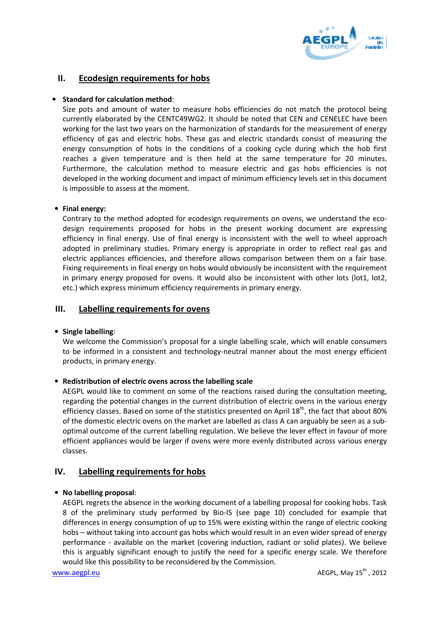

## II. Ecodesign requirements for hobs

### • Standard for calculation method:

Size pots and amount of water to measure hobs efficiencies do not match the protocol being currently elaborated by the CENTC49WG2. It should be noted that CEN and CENELEC have been working for the last two years on the harmonization of standards for the measurement of energy efficiency of gas and electric hobs. These gas and electric standards consist of measuring the energy consumption of hobs in the conditions of a cooking cycle during which the hob first reaches a given temperature and is then held at the same temperature for 20 minutes. Furthermore, the calculation method to measure electric and gas hobs efficiencies is not developed in the working document and impact of minimum efficiency levels set in this document is impossible to assess at the moment.

## • Final energy:

Contrary to the method adopted for ecodesign requirements on ovens, we understand the ecodesign requirements proposed for hobs in the present working document are expressing efficiency in final energy. Use of final energy is inconsistent with the well to wheel approach adopted in preliminary studies. Primary energy is appropriate in order to reflect real gas and electric appliances efficiencies, and therefore allows comparison between them on a fair base. Fixing requirements in final energy on hobs would obviously be inconsistent with the requirement in primary energy proposed for ovens. It would also be inconsistent with other lots (lot1, lot2, etc.) which express minimum efficiency requirements in primary energy.

## III. Labelling requirements for ovens

## • Single labelling:

We welcome the Commission's proposal for a single labelling scale, which will enable consumers to be informed in a consistent and technology-neutral manner about the most energy efficient products, in primary energy.

## • Redistribution of electric ovens across the labelling scale

AEGPL would like to comment on some of the reactions raised during the consultation meeting, regarding the potential changes in the current distribution of electric ovens in the various energy efficiency classes. Based on some of the statistics presented on April 18<sup>th</sup>, the fact that about 80% of the domestic electric ovens on the market are labelled as class A can arguably be seen as a suboptimal outcome of the current labelling regulation. We believe the lever effect in favour of more efficient appliances would be larger if ovens were more evenly distributed across various energy classes.

## IV. Labelling requirements for hobs

## • No labelling proposal:

AEGPL regrets the absence in the working document of a labelling proposal for cooking hobs. Task 8 of the preliminary study performed by Bio-IS (see page 10) concluded for example that differences in energy consumption of up to 15% were existing within the range of electric cooking hobs – without taking into account gas hobs which would result in an even wider spread of energy performance - available on the market (covering induction, radiant or solid plates). We believe this is arguably significant enough to justify the need for a specific energy scale. We therefore would like this possibility to be reconsidered by the Commission.